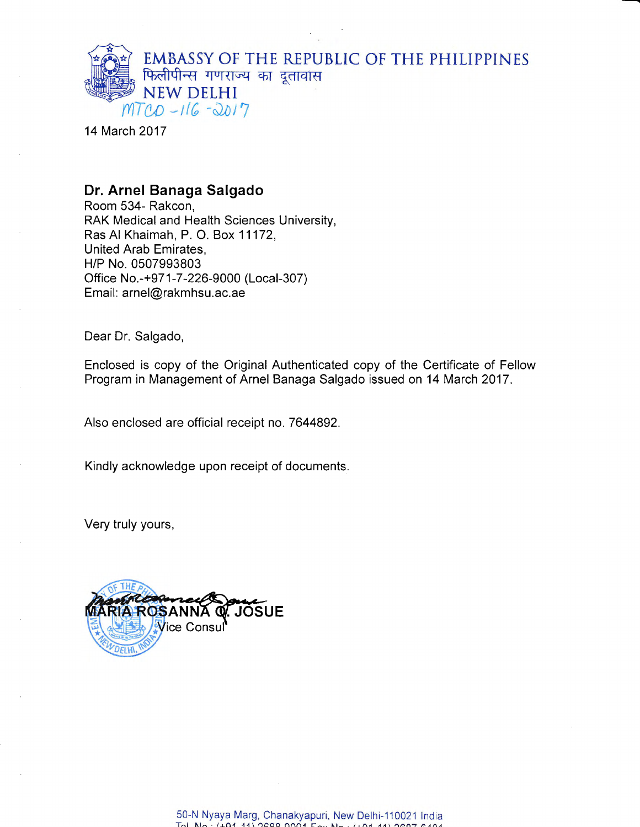

14 March 2017

## Dr. Arnel Banaga Salgado

Room 534- Rakcon, RAK Medical and Health Sciences University, Ras Al Khaimah, P. O. Box 11172, United Arab Emirates, H/P No. 0507993803 Office No.-+971 -7 -226-9000 (Local-307) Email: arnel@rakmhsu.ac.ae

Dear Dr. Salgado,

Enclosed is copy of the Original Authenticated copy of the Certificate of Fellow Program in Management of Arnel Banaga Salgado issued on 14 March 2017 .

Also enclosed are official receipt no.7644892.

Kindly acknowledge upon receipt of documents.

Very truly yours,

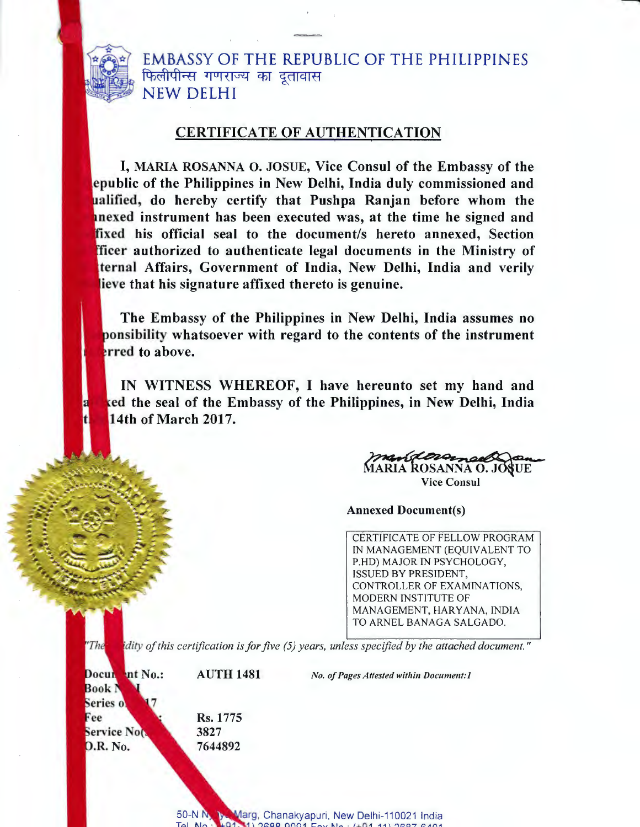

EMBASSY OF THE REPUBLIC OF THE PHILIPPINES फिलीपीन्स गणराज्य का दूतावास NEW DELHI

## CERTIFICATE OF AUTHENTICATION

I, MARIA ROSANNA O. JOSUE, Vice Consul of the Embassy of the public of the Philippines in New Delhi, India duly commissioned and ualified, do hereby certify that Pushpa Ranjan before whom the nexed instrument has been executed was, at the time he signed and fixed his official seal to the document/s hereto annexed, Section fficer authorized to authenticate legal documents in the Ministry of ternal Affairs, Government of India, New Delhi, India and verily ieve that his signature affixed thereto is genuine.

The Embassy of the Philippines in New Delhi, India assumes no nsibility whatsoever with regard to the contents of the instrument erred to above.

IN WITNESS WHEREOF, I have hereunto set my hand and ed the seal of the Embassy of the Philippines, in New Delhi, India 14th of March 2017.

geovernoe MARIA ROSANNA O. JOSUE Vice Consul

Annexed Document(s)

CERTIFICATE OF FELLOW PROGRAM IN MANAGEMENT (EQUIVALENT TO P.HD) MAJOR IN PSYCHOLOGY, ISSUED BY PRESIDENT, CONTROLLER OF EXAMINATIONS, MODERN INSTITUTE OF MANAGEMENT, HARYANA, INDIA TO ARNEL BANAGA SALGADO.

dity of this certification is for five (5) years, unless specified by the attached document."

Documbut No.: Book I Series of Fee **Service Not D.R. No.** 

 $The$ 

Rs. 1775 3827 7644892

AUTH 148I

No. of Pages Attested within Document: I

50-N N 3 Marg, Chanakyapuri, New Delhi-110021 India<br>Tel No : 1101, 11. 2688. 0001 Eox No : (+01.11) 2697. 6401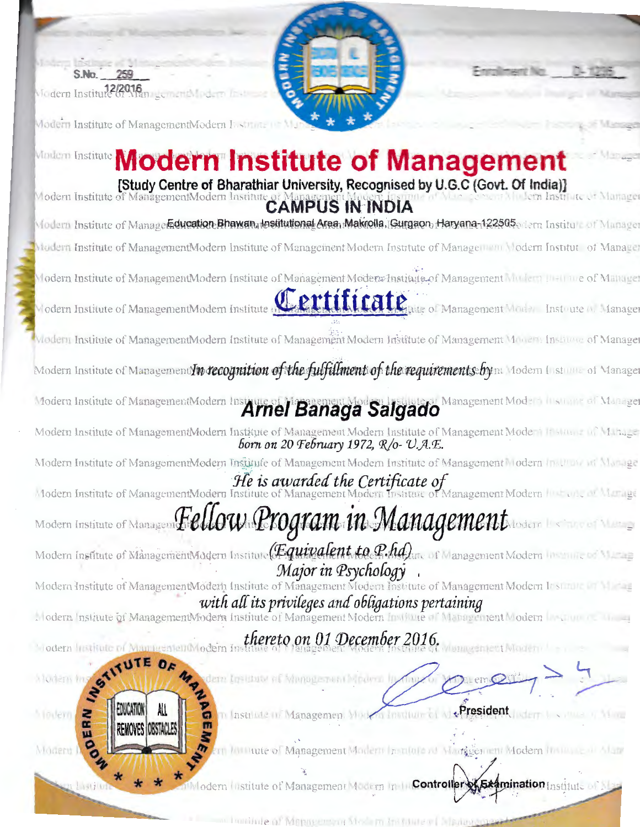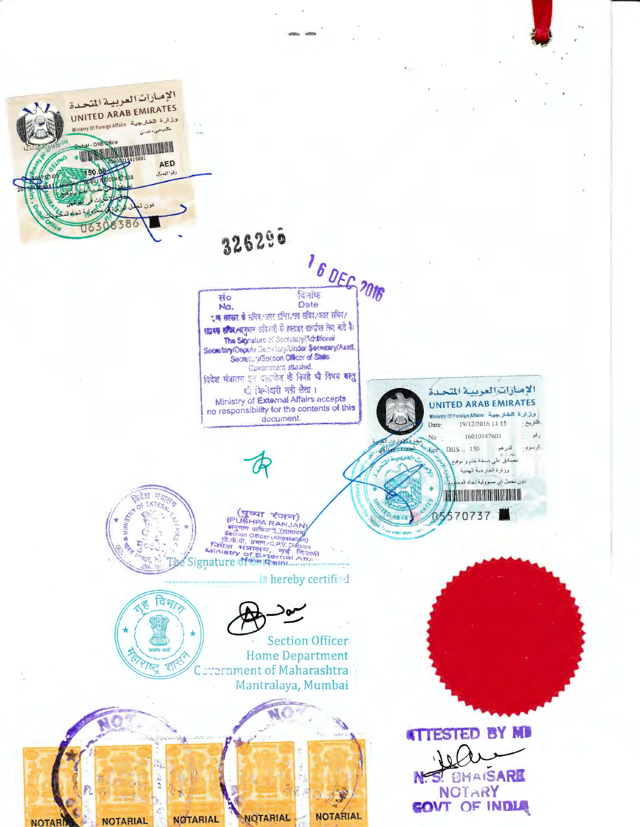